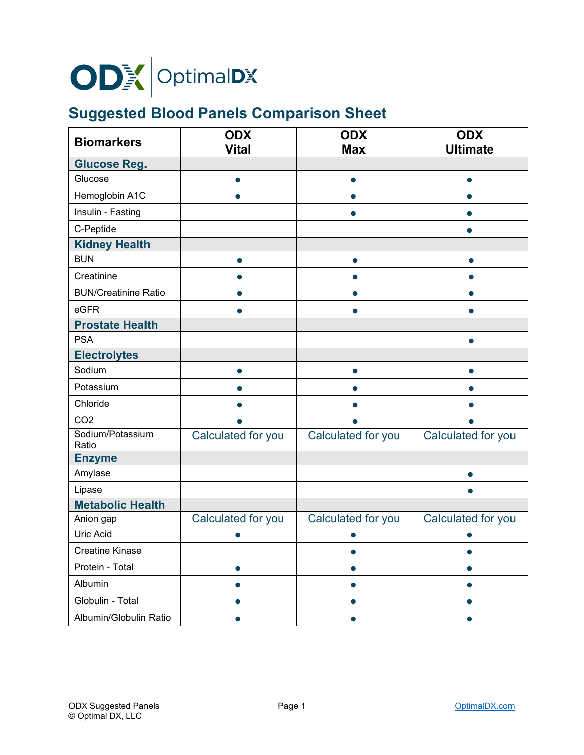

## **Suggested Blood Panels Comparison Sheet**

| <b>Biomarkers</b>           | <b>ODX</b>         | <b>ODX</b>         | <b>ODX</b>         |
|-----------------------------|--------------------|--------------------|--------------------|
|                             | <b>Vital</b>       | <b>Max</b>         | <b>Ultimate</b>    |
| <b>Glucose Reg.</b>         |                    |                    |                    |
| Glucose                     | $\bullet$          | $\bullet$          | ●                  |
| Hemoglobin A1C              |                    |                    |                    |
| Insulin - Fasting           |                    |                    |                    |
| C-Peptide                   |                    |                    |                    |
| <b>Kidney Health</b>        |                    |                    |                    |
| <b>BUN</b>                  | ●                  | $\bullet$          | $\bullet$          |
| Creatinine                  |                    |                    | ●                  |
| <b>BUN/Creatinine Ratio</b> |                    |                    |                    |
| eGFR                        |                    |                    |                    |
| <b>Prostate Health</b>      |                    |                    |                    |
| <b>PSA</b>                  |                    |                    | $\bullet$          |
| <b>Electrolytes</b>         |                    |                    |                    |
| Sodium                      |                    |                    | $\bullet$          |
| Potassium                   |                    |                    |                    |
| Chloride                    |                    |                    |                    |
| CO <sub>2</sub>             |                    |                    |                    |
| Sodium/Potassium<br>Ratio   | Calculated for you | Calculated for you | Calculated for you |
| <b>Enzyme</b>               |                    |                    |                    |
| Amylase                     |                    |                    |                    |
| Lipase                      |                    |                    |                    |
| <b>Metabolic Health</b>     |                    |                    |                    |
| Anion gap                   | Calculated for you | Calculated for you | Calculated for you |
| Uric Acid                   |                    |                    |                    |
| <b>Creatine Kinase</b>      |                    | $\bullet$          | $\bullet$          |
| Protein - Total             |                    |                    |                    |
| Albumin                     |                    |                    |                    |
| Globulin - Total            |                    |                    |                    |
| Albumin/Globulin Ratio      |                    |                    |                    |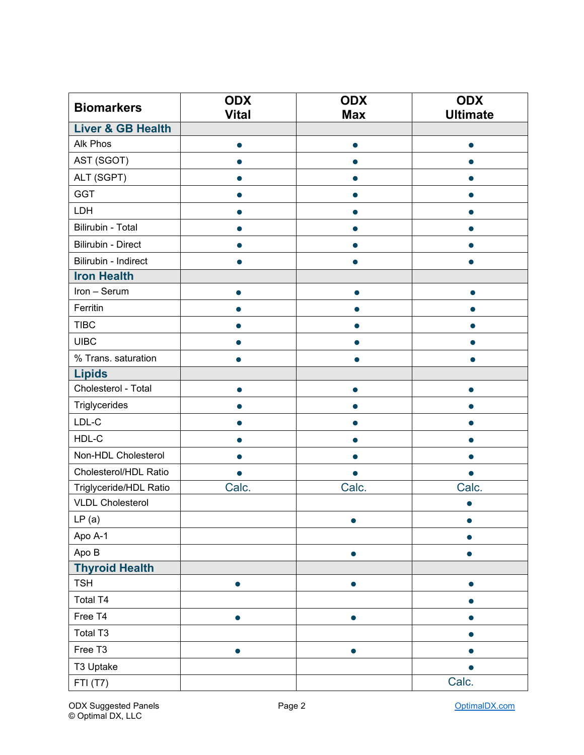| <b>Biomarkers</b>            | <b>ODX</b>   | <b>ODX</b> | <b>ODX</b>      |
|------------------------------|--------------|------------|-----------------|
| <b>Liver &amp; GB Health</b> | <b>Vital</b> | <b>Max</b> | <b>Ultimate</b> |
| Alk Phos                     |              |            |                 |
|                              |              |            | $\bullet$       |
| AST (SGOT)                   |              |            |                 |
| ALT (SGPT)                   |              |            |                 |
| <b>GGT</b>                   |              |            |                 |
| LDH                          |              |            |                 |
| Bilirubin - Total            |              |            |                 |
| Bilirubin - Direct           |              |            | ●               |
| Bilirubin - Indirect         |              |            |                 |
| <b>Iron Health</b>           |              |            |                 |
| Iron - Serum                 |              |            |                 |
| Ferritin                     |              |            |                 |
| <b>TIBC</b>                  |              |            |                 |
| <b>UIBC</b>                  |              |            |                 |
| % Trans. saturation          |              |            |                 |
| <b>Lipids</b>                |              |            |                 |
| Cholesterol - Total          |              |            |                 |
| Triglycerides                |              |            |                 |
| $LDL-C$                      |              |            |                 |
| HDL-C                        |              |            |                 |
| Non-HDL Cholesterol          |              |            |                 |
| Cholesterol/HDL Ratio        |              | $\bullet$  | ●               |
| Triglyceride/HDL Ratio       | Calc.        | Calc.      | Calc.           |
| <b>VLDL Cholesterol</b>      |              |            |                 |
| LP(a)                        |              |            |                 |
| Apo A-1                      |              |            | $\bullet$       |
| Apo B                        |              | $\bullet$  | $\bullet$       |
| <b>Thyroid Health</b>        |              |            |                 |
| <b>TSH</b>                   | $\bullet$    | $\bullet$  | $\bullet$       |
| Total T4                     |              |            | $\bullet$       |
| Free T4                      | $\bullet$    | $\bullet$  | $\bullet$       |
| Total T3                     |              |            | $\bullet$       |
| Free T3                      | $\bullet$    | $\bullet$  | $\bullet$       |
| T3 Uptake                    |              |            | ●               |
| FTI (T7)                     |              |            | Calc.           |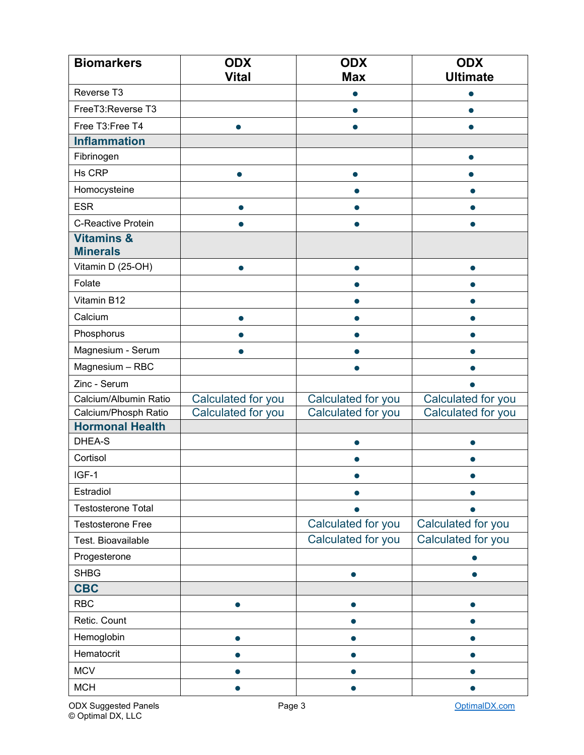| <b>Biomarkers</b>                              | <b>ODX</b><br><b>Vital</b> | <b>ODX</b><br><b>Max</b>                 | <b>ODX</b><br><b>Ultimate</b>            |
|------------------------------------------------|----------------------------|------------------------------------------|------------------------------------------|
| Reverse T3                                     |                            | 0                                        |                                          |
| FreeT3:Reverse T3                              |                            |                                          |                                          |
| Free T3:Free T4                                | $\bullet$                  | $\bullet$                                | ●                                        |
| <b>Inflammation</b>                            |                            |                                          |                                          |
| Fibrinogen                                     |                            |                                          |                                          |
| Hs CRP                                         | $\bullet$                  | $\bullet$                                |                                          |
| Homocysteine                                   |                            |                                          |                                          |
| <b>ESR</b>                                     | 0                          |                                          |                                          |
| C-Reactive Protein                             |                            |                                          |                                          |
| <b>Vitamins &amp;</b><br><b>Minerals</b>       |                            |                                          |                                          |
| Vitamin D (25-OH)                              |                            |                                          |                                          |
| Folate                                         |                            |                                          |                                          |
| Vitamin B12                                    |                            |                                          |                                          |
| Calcium                                        |                            |                                          |                                          |
| Phosphorus                                     |                            |                                          |                                          |
| Magnesium - Serum                              |                            |                                          |                                          |
| Magnesium - RBC                                |                            |                                          |                                          |
| Zinc - Serum                                   |                            |                                          |                                          |
| Calcium/Albumin Ratio                          | Calculated for you         | Calculated for you                       | Calculated for you                       |
| Calcium/Phosph Ratio                           | Calculated for you         | Calculated for you                       | Calculated for you                       |
| <b>Hormonal Health</b><br>DHEA-S               |                            |                                          |                                          |
|                                                |                            |                                          |                                          |
| Cortisol                                       |                            |                                          |                                          |
| IGF-1                                          |                            |                                          |                                          |
| Estradiol                                      |                            |                                          |                                          |
| <b>Testosterone Total</b>                      |                            |                                          |                                          |
| <b>Testosterone Free</b><br>Test. Bioavailable |                            | Calculated for you<br>Calculated for you | Calculated for you<br>Calculated for you |
|                                                |                            |                                          |                                          |
| Progesterone                                   |                            |                                          |                                          |
| <b>SHBG</b><br><b>CBC</b>                      |                            |                                          |                                          |
| <b>RBC</b>                                     |                            |                                          |                                          |
| Retic. Count                                   |                            |                                          |                                          |
| Hemoglobin                                     |                            |                                          |                                          |
| Hematocrit                                     |                            |                                          |                                          |
| <b>MCV</b>                                     |                            |                                          |                                          |
| <b>MCH</b>                                     |                            |                                          |                                          |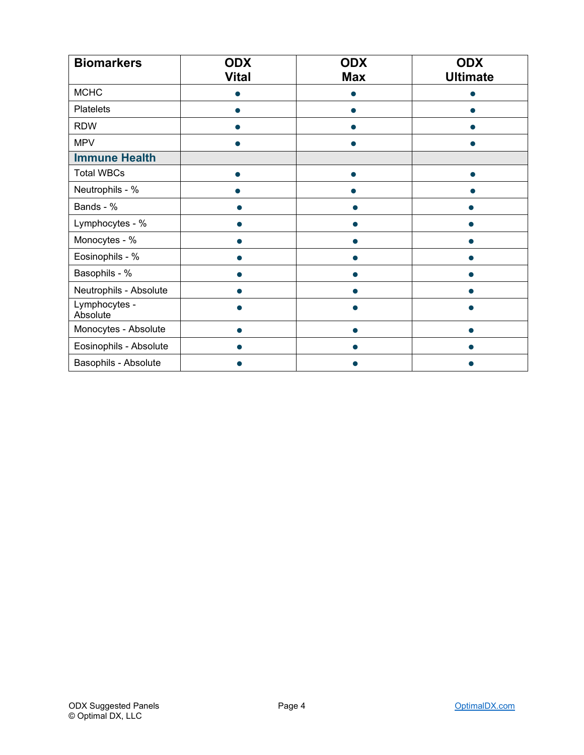| <b>Biomarkers</b>         | <b>ODX</b>   | <b>ODX</b> | <b>ODX</b>      |
|---------------------------|--------------|------------|-----------------|
|                           | <b>Vital</b> | <b>Max</b> | <b>Ultimate</b> |
| <b>MCHC</b>               |              |            |                 |
| <b>Platelets</b>          |              |            |                 |
| <b>RDW</b>                |              |            |                 |
| <b>MPV</b>                |              |            |                 |
| <b>Immune Health</b>      |              |            |                 |
| <b>Total WBCs</b>         |              |            |                 |
| Neutrophils - %           |              |            |                 |
| Bands - %                 |              |            |                 |
| Lymphocytes - %           |              |            |                 |
| Monocytes - %             |              |            |                 |
| Eosinophils - %           |              |            |                 |
| Basophils - %             |              |            |                 |
| Neutrophils - Absolute    |              |            |                 |
| Lymphocytes -<br>Absolute |              |            |                 |
| Monocytes - Absolute      |              |            |                 |
| Eosinophils - Absolute    |              |            |                 |
| Basophils - Absolute      |              |            |                 |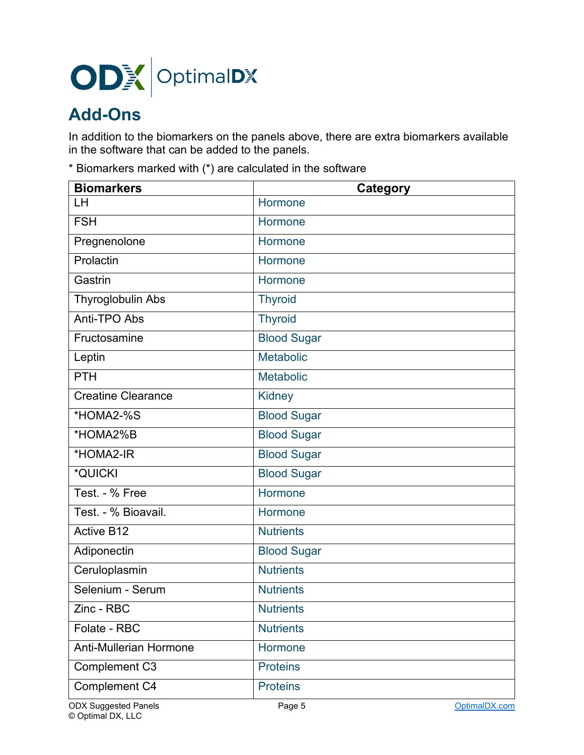

## **Add-Ons**

In addition to the biomarkers on the panels above, there are extra biomarkers available in the software that can be added to the panels.

\* Biomarkers marked with (\*) are calculated in the software

| <b>Biomarkers</b>             | Category           |
|-------------------------------|--------------------|
| LH                            | Hormone            |
| <b>FSH</b>                    | Hormone            |
| Pregnenolone                  | Hormone            |
| Prolactin                     | Hormone            |
| Gastrin                       | Hormone            |
| Thyroglobulin Abs             | <b>Thyroid</b>     |
| Anti-TPO Abs                  | <b>Thyroid</b>     |
| Fructosamine                  | <b>Blood Sugar</b> |
| Leptin                        | <b>Metabolic</b>   |
| <b>PTH</b>                    | <b>Metabolic</b>   |
| <b>Creatine Clearance</b>     | <b>Kidney</b>      |
| *HOMA2-%S                     | <b>Blood Sugar</b> |
| *HOMA2%B                      | <b>Blood Sugar</b> |
| *HOMA2-IR                     | <b>Blood Sugar</b> |
| *QUICKI                       | <b>Blood Sugar</b> |
| Test. - % Free                | Hormone            |
| Test. - % Bioavail.           | Hormone            |
| <b>Active B12</b>             | <b>Nutrients</b>   |
| Adiponectin                   | <b>Blood Sugar</b> |
| Ceruloplasmin                 | <b>Nutrients</b>   |
| Selenium - Serum              | <b>Nutrients</b>   |
| $\overline{Z}$ inc - RBC      | <b>Nutrients</b>   |
| Folate - RBC                  | <b>Nutrients</b>   |
| <b>Anti-Mullerian Hormone</b> | Hormone            |
| Complement C3                 | <b>Proteins</b>    |
| Complement C4                 | <b>Proteins</b>    |